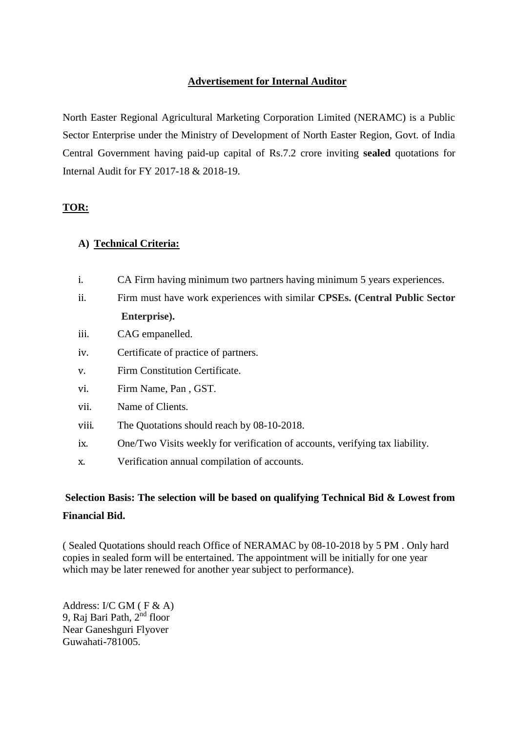## **Advertisement for Internal Auditor**

North Easter Regional Agricultural Marketing Corporation Limited (NERAMC) is a Public Sector Enterprise under the Ministry of Development of North Easter Region, Govt. of India Central Government having paid-up capital of Rs.7.2 crore inviting **sealed** quotations for Internal Audit for FY 2017-18 & 2018-19.

## **TOR:**

## **A) Technical Criteria:**

- i. CA Firm having minimum two partners having minimum 5 years experiences.
- ii. Firm must have work experiences with similar **CPSEs. (Central Public Sector Enterprise).**
- iii. CAG empanelled.
- iv. Certificate of practice of partners.
- v. Firm Constitution Certificate.
- vi. Firm Name, Pan , GST.
- vii. Name of Clients.
- viii. The Quotations should reach by 08-10-2018.
- ix. One/Two Visits weekly for verification of accounts, verifying tax liability.
- x. Verification annual compilation of accounts.

## **Selection Basis: The selection will be based on qualifying Technical Bid & Lowest from Financial Bid.**

( Sealed Quotations should reach Office of NERAMAC by 08-10-2018 by 5 PM . Only hard copies in sealed form will be entertained. The appointment will be initially for one year which may be later renewed for another year subject to performance).

Address: I/C GM ( F & A) 9, Raj Bari Path, 2<sup>nd</sup> floor Near Ganeshguri Flyover Guwahati-781005.